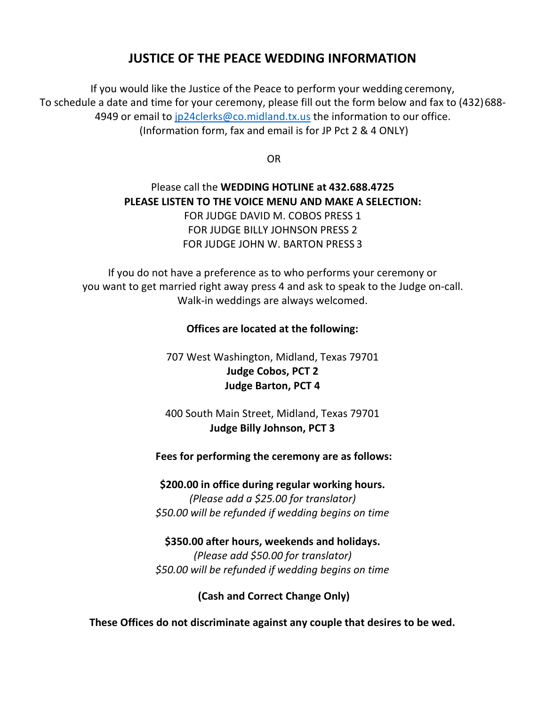## **JUSTICE OF THE PEACE WEDDING INFORMATION**

If you would like the Justice of the Peace to perform your wedding ceremony, To schedule a date and time for your ceremony, please fill out the form below and fax to (432)688- 4949 or email to jp24clerks@co.midland.tx.us the information to our office. (Information form, fax and email is for JP Pct 2 & 4 ONLY)

OR

### Please call the **WEDDING HOTLINE at 432.688.4725 PLEASE LISTEN TO THE VOICE MENU AND MAKE A SELECTION:** FOR JUDGE DAVID M. COBOS PRESS 1 FOR JUDGE BILLY JOHNSON PRESS 2 FOR JUDGE JOHN W. BARTON PRESS 3

If you do not have a preference as to who performs your ceremony or you want to get married right away press 4 and ask to speak to the Judge on-call. Walk-in weddings are always welcomed.

#### **Offices are located at the following:**

707 West Washington, Midland, Texas 79701 **Judge Cobos, PCT 2 Judge Barton, PCT 4**

400 South Main Street, Midland, Texas 79701 **Judge Billy Johnson, PCT 3**

#### **Fees for performing the ceremony are as follows:**

**\$200.00 in office during regular working hours.** *(Please add a \$25.00 for translator) \$50.00 will be refunded if wedding begins on time*

**\$350.00 after hours, weekends and holidays.** *(Please add \$50.00 for translator) \$50.00 will be refunded if wedding begins on time*

**(Cash and Correct Change Only)**

**These Offices do not discriminate against any couple that desires to be wed.**